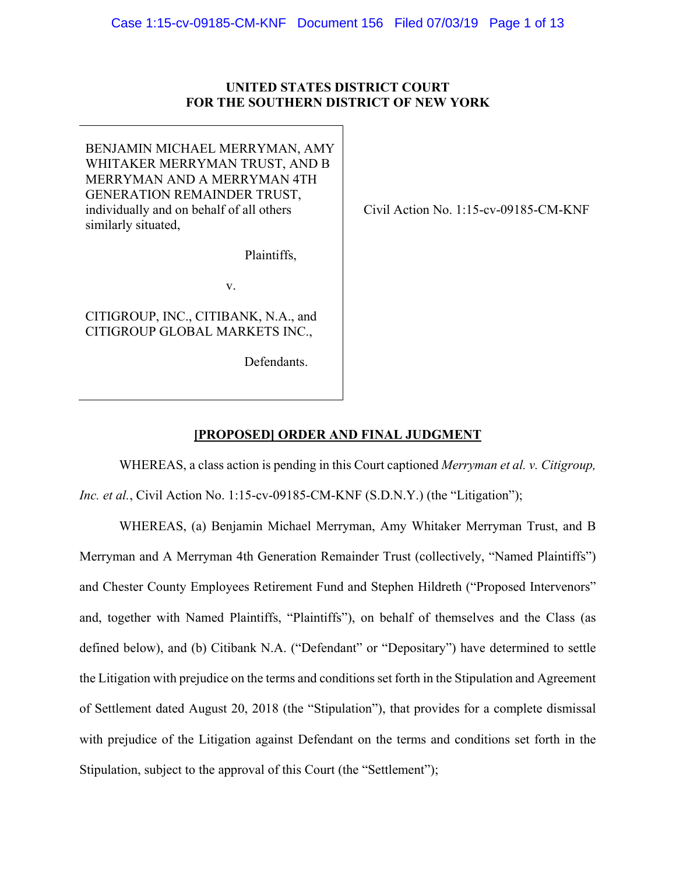## **UNITED STATES DISTRICT COURT FOR THE SOUTHERN DISTRICT OF NEW YORK**

BENJAMIN MICHAEL MERRYMAN, AMY WHITAKER MERRYMAN TRUST, AND B MERRYMAN AND A MERRYMAN 4TH GENERATION REMAINDER TRUST, individually and on behalf of all others similarly situated,

Plaintiffs,

v.

CITIGROUP, INC., CITIBANK, N.A., and CITIGROUP GLOBAL MARKETS INC.,

Defendants.

Civil Action No. 1:15-cv-09185-CM-KNF

# **[PROPOSED] ORDER AND FINAL JUDGMENT**

WHEREAS, a class action is pending in this Court captioned *Merryman et al. v. Citigroup,* 

*Inc. et al.*, Civil Action No. 1:15-cv-09185-CM-KNF (S.D.N.Y.) (the "Litigation");

WHEREAS, (a) Benjamin Michael Merryman, Amy Whitaker Merryman Trust, and B Merryman and A Merryman 4th Generation Remainder Trust (collectively, "Named Plaintiffs") and Chester County Employees Retirement Fund and Stephen Hildreth ("Proposed Intervenors" and, together with Named Plaintiffs, "Plaintiffs"), on behalf of themselves and the Class (as defined below), and (b) Citibank N.A. ("Defendant" or "Depositary") have determined to settle the Litigation with prejudice on the terms and conditions set forth in the Stipulation and Agreement of Settlement dated August 20, 2018 (the "Stipulation"), that provides for a complete dismissal with prejudice of the Litigation against Defendant on the terms and conditions set forth in the Stipulation, subject to the approval of this Court (the "Settlement");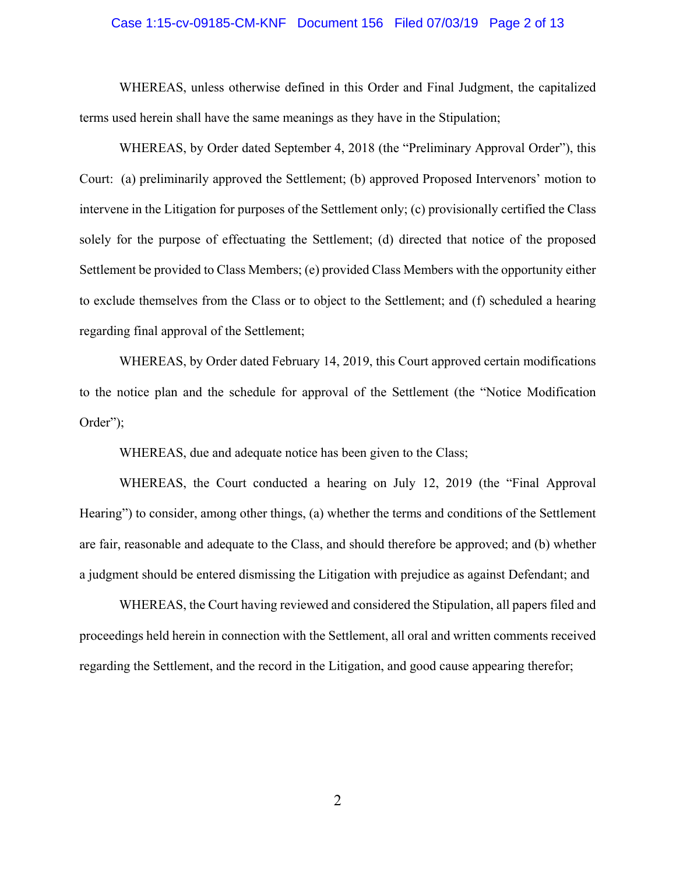## Case 1:15-cv-09185-CM-KNF Document 156 Filed 07/03/19 Page 2 of 13

WHEREAS, unless otherwise defined in this Order and Final Judgment, the capitalized terms used herein shall have the same meanings as they have in the Stipulation;

 WHEREAS, by Order dated September 4, 2018 (the "Preliminary Approval Order"), this Court: (a) preliminarily approved the Settlement; (b) approved Proposed Intervenors' motion to intervene in the Litigation for purposes of the Settlement only; (c) provisionally certified the Class solely for the purpose of effectuating the Settlement; (d) directed that notice of the proposed Settlement be provided to Class Members; (e) provided Class Members with the opportunity either to exclude themselves from the Class or to object to the Settlement; and (f) scheduled a hearing regarding final approval of the Settlement;

 WHEREAS, by Order dated February 14, 2019, this Court approved certain modifications to the notice plan and the schedule for approval of the Settlement (the "Notice Modification Order");

WHEREAS, due and adequate notice has been given to the Class;

 WHEREAS, the Court conducted a hearing on July 12, 2019 (the "Final Approval Hearing") to consider, among other things, (a) whether the terms and conditions of the Settlement are fair, reasonable and adequate to the Class, and should therefore be approved; and (b) whether a judgment should be entered dismissing the Litigation with prejudice as against Defendant; and

 WHEREAS, the Court having reviewed and considered the Stipulation, all papers filed and proceedings held herein in connection with the Settlement, all oral and written comments received regarding the Settlement, and the record in the Litigation, and good cause appearing therefor;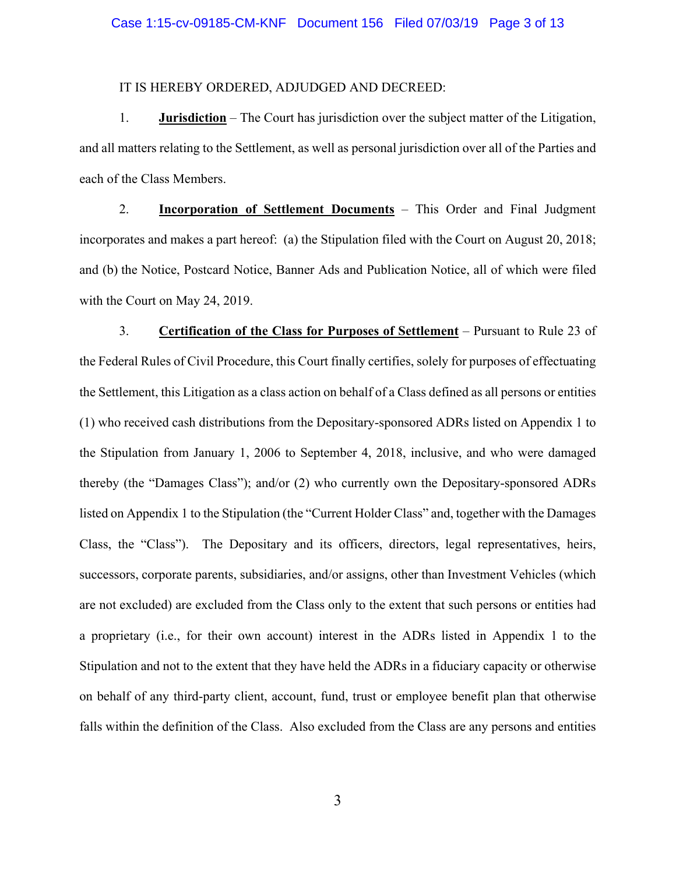### Case 1:15-cv-09185-CM-KNF Document 156 Filed 07/03/19 Page 3 of 13

## IT IS HEREBY ORDERED, ADJUDGED AND DECREED:

1. **Jurisdiction** – The Court has jurisdiction over the subject matter of the Litigation, and all matters relating to the Settlement, as well as personal jurisdiction over all of the Parties and each of the Class Members.

2. **Incorporation of Settlement Documents** – This Order and Final Judgment incorporates and makes a part hereof: (a) the Stipulation filed with the Court on August 20, 2018; and (b) the Notice, Postcard Notice, Banner Ads and Publication Notice, all of which were filed with the Court on May 24, 2019.

3. **Certification of the Class for Purposes of Settlement** – Pursuant to Rule 23 of the Federal Rules of Civil Procedure, this Court finally certifies, solely for purposes of effectuating the Settlement, this Litigation as a class action on behalf of a Class defined as all persons or entities (1) who received cash distributions from the Depositary-sponsored ADRs listed on Appendix 1 to the Stipulation from January 1, 2006 to September 4, 2018, inclusive, and who were damaged thereby (the "Damages Class"); and/or (2) who currently own the Depositary-sponsored ADRs listed on Appendix 1 to the Stipulation (the "Current Holder Class" and, together with the Damages Class, the "Class"). The Depositary and its officers, directors, legal representatives, heirs, successors, corporate parents, subsidiaries, and/or assigns, other than Investment Vehicles (which are not excluded) are excluded from the Class only to the extent that such persons or entities had a proprietary (i.e., for their own account) interest in the ADRs listed in Appendix 1 to the Stipulation and not to the extent that they have held the ADRs in a fiduciary capacity or otherwise on behalf of any third-party client, account, fund, trust or employee benefit plan that otherwise falls within the definition of the Class. Also excluded from the Class are any persons and entities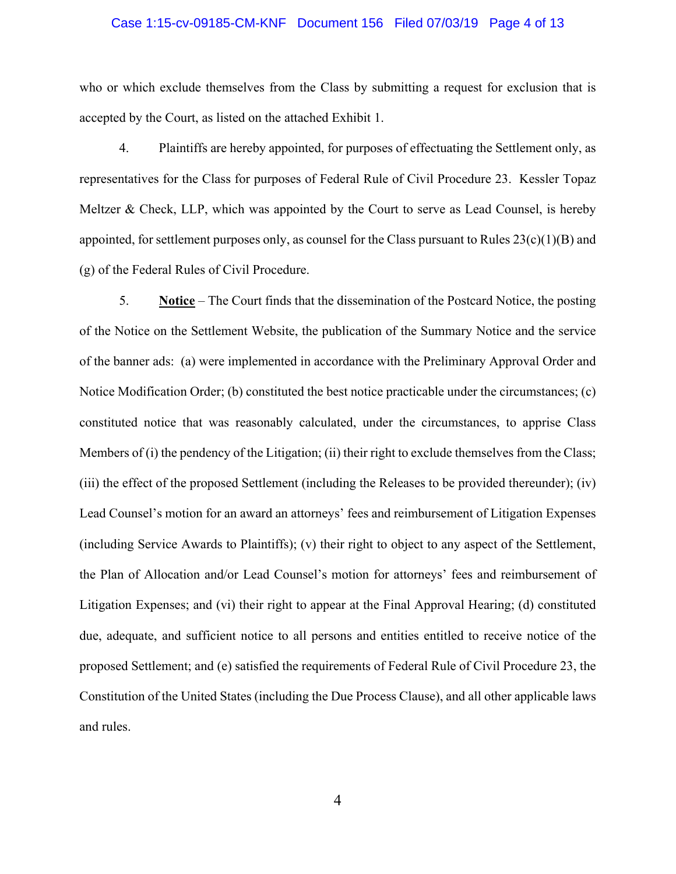#### Case 1:15-cv-09185-CM-KNF Document 156 Filed 07/03/19 Page 4 of 13

who or which exclude themselves from the Class by submitting a request for exclusion that is accepted by the Court, as listed on the attached Exhibit 1.

4. Plaintiffs are hereby appointed, for purposes of effectuating the Settlement only, as representatives for the Class for purposes of Federal Rule of Civil Procedure 23. Kessler Topaz Meltzer & Check, LLP, which was appointed by the Court to serve as Lead Counsel, is hereby appointed, for settlement purposes only, as counsel for the Class pursuant to Rules  $23(c)(1)(B)$  and (g) of the Federal Rules of Civil Procedure.

5. **Notice** – The Court finds that the dissemination of the Postcard Notice, the posting of the Notice on the Settlement Website, the publication of the Summary Notice and the service of the banner ads: (a) were implemented in accordance with the Preliminary Approval Order and Notice Modification Order; (b) constituted the best notice practicable under the circumstances; (c) constituted notice that was reasonably calculated, under the circumstances, to apprise Class Members of (i) the pendency of the Litigation; (ii) their right to exclude themselves from the Class; (iii) the effect of the proposed Settlement (including the Releases to be provided thereunder); (iv) Lead Counsel's motion for an award an attorneys' fees and reimbursement of Litigation Expenses (including Service Awards to Plaintiffs); (v) their right to object to any aspect of the Settlement, the Plan of Allocation and/or Lead Counsel's motion for attorneys' fees and reimbursement of Litigation Expenses; and (vi) their right to appear at the Final Approval Hearing; (d) constituted due, adequate, and sufficient notice to all persons and entities entitled to receive notice of the proposed Settlement; and (e) satisfied the requirements of Federal Rule of Civil Procedure 23, the Constitution of the United States (including the Due Process Clause), and all other applicable laws and rules.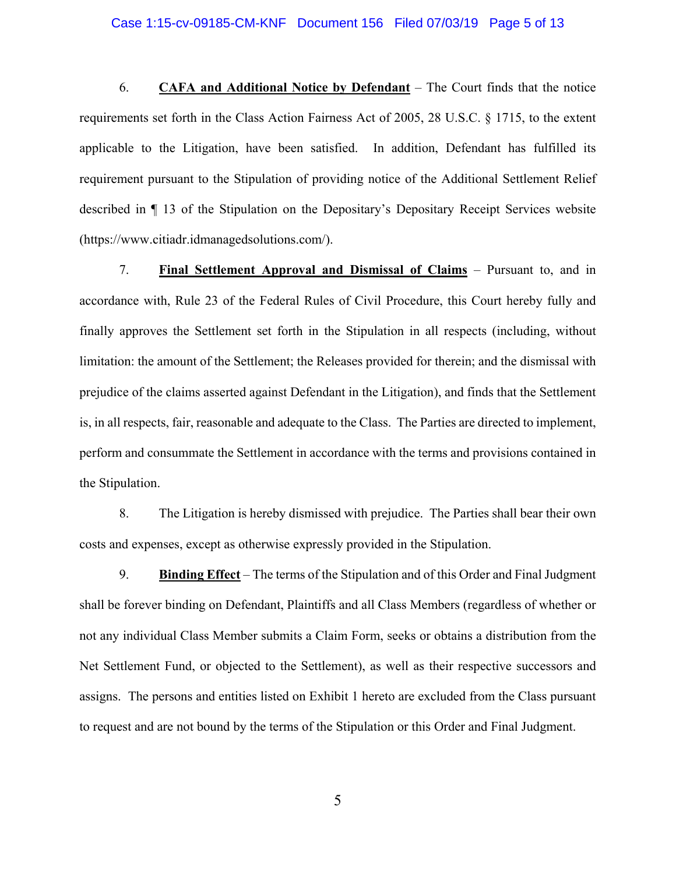#### Case 1:15-cv-09185-CM-KNF Document 156 Filed 07/03/19 Page 5 of 13

6. **CAFA and Additional Notice by Defendant** – The Court finds that the notice requirements set forth in the Class Action Fairness Act of 2005, 28 U.S.C. § 1715, to the extent applicable to the Litigation, have been satisfied. In addition, Defendant has fulfilled its requirement pursuant to the Stipulation of providing notice of the Additional Settlement Relief described in ¶ 13 of the Stipulation on the Depositary's Depositary Receipt Services website (https://www.citiadr.idmanagedsolutions.com/).

7. **Final Settlement Approval and Dismissal of Claims** – Pursuant to, and in accordance with, Rule 23 of the Federal Rules of Civil Procedure, this Court hereby fully and finally approves the Settlement set forth in the Stipulation in all respects (including, without limitation: the amount of the Settlement; the Releases provided for therein; and the dismissal with prejudice of the claims asserted against Defendant in the Litigation), and finds that the Settlement is, in all respects, fair, reasonable and adequate to the Class. The Parties are directed to implement, perform and consummate the Settlement in accordance with the terms and provisions contained in the Stipulation.

8. The Litigation is hereby dismissed with prejudice. The Parties shall bear their own costs and expenses, except as otherwise expressly provided in the Stipulation.

9. **Binding Effect** – The terms of the Stipulation and of this Order and Final Judgment shall be forever binding on Defendant, Plaintiffs and all Class Members (regardless of whether or not any individual Class Member submits a Claim Form, seeks or obtains a distribution from the Net Settlement Fund, or objected to the Settlement), as well as their respective successors and assigns. The persons and entities listed on Exhibit 1 hereto are excluded from the Class pursuant to request and are not bound by the terms of the Stipulation or this Order and Final Judgment.

5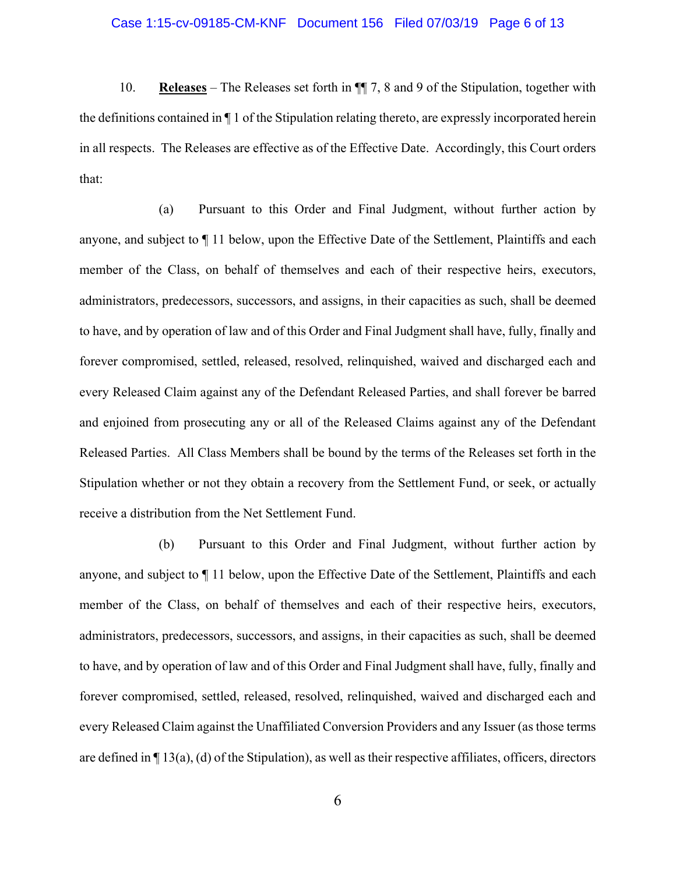#### Case 1:15-cv-09185-CM-KNF Document 156 Filed 07/03/19 Page 6 of 13

10. **Releases** – The Releases set forth in ¶¶ 7, 8 and 9 of the Stipulation, together with the definitions contained in ¶ 1 of the Stipulation relating thereto, are expressly incorporated herein in all respects. The Releases are effective as of the Effective Date. Accordingly, this Court orders that:

(a) Pursuant to this Order and Final Judgment, without further action by anyone, and subject to ¶ 11 below, upon the Effective Date of the Settlement, Plaintiffs and each member of the Class, on behalf of themselves and each of their respective heirs, executors, administrators, predecessors, successors, and assigns, in their capacities as such, shall be deemed to have, and by operation of law and of this Order and Final Judgment shall have, fully, finally and forever compromised, settled, released, resolved, relinquished, waived and discharged each and every Released Claim against any of the Defendant Released Parties, and shall forever be barred and enjoined from prosecuting any or all of the Released Claims against any of the Defendant Released Parties. All Class Members shall be bound by the terms of the Releases set forth in the Stipulation whether or not they obtain a recovery from the Settlement Fund, or seek, or actually receive a distribution from the Net Settlement Fund.

(b) Pursuant to this Order and Final Judgment, without further action by anyone, and subject to ¶ 11 below, upon the Effective Date of the Settlement, Plaintiffs and each member of the Class, on behalf of themselves and each of their respective heirs, executors, administrators, predecessors, successors, and assigns, in their capacities as such, shall be deemed to have, and by operation of law and of this Order and Final Judgment shall have, fully, finally and forever compromised, settled, released, resolved, relinquished, waived and discharged each and every Released Claim against the Unaffiliated Conversion Providers and any Issuer (as those terms are defined in ¶ 13(a), (d) of the Stipulation), as well as their respective affiliates, officers, directors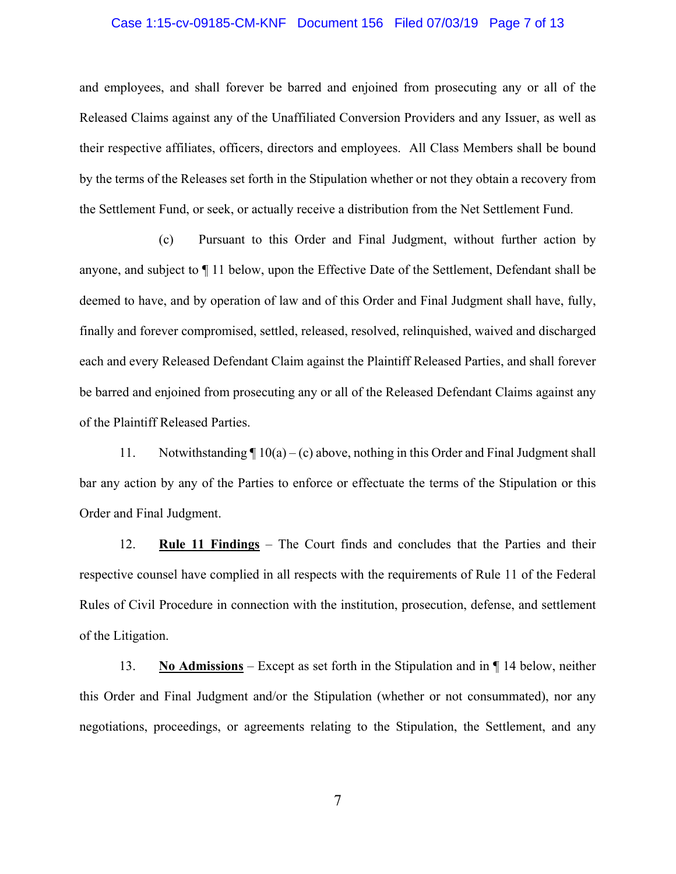#### Case 1:15-cv-09185-CM-KNF Document 156 Filed 07/03/19 Page 7 of 13

and employees, and shall forever be barred and enjoined from prosecuting any or all of the Released Claims against any of the Unaffiliated Conversion Providers and any Issuer, as well as their respective affiliates, officers, directors and employees. All Class Members shall be bound by the terms of the Releases set forth in the Stipulation whether or not they obtain a recovery from the Settlement Fund, or seek, or actually receive a distribution from the Net Settlement Fund.

(c) Pursuant to this Order and Final Judgment, without further action by anyone, and subject to ¶ 11 below, upon the Effective Date of the Settlement, Defendant shall be deemed to have, and by operation of law and of this Order and Final Judgment shall have, fully, finally and forever compromised, settled, released, resolved, relinquished, waived and discharged each and every Released Defendant Claim against the Plaintiff Released Parties, and shall forever be barred and enjoined from prosecuting any or all of the Released Defendant Claims against any of the Plaintiff Released Parties.

11. Notwithstanding  $\P 10(a) - (c)$  above, nothing in this Order and Final Judgment shall bar any action by any of the Parties to enforce or effectuate the terms of the Stipulation or this Order and Final Judgment.

12. **Rule 11 Findings** – The Court finds and concludes that the Parties and their respective counsel have complied in all respects with the requirements of Rule 11 of the Federal Rules of Civil Procedure in connection with the institution, prosecution, defense, and settlement of the Litigation.

13. **No Admissions** – Except as set forth in the Stipulation and in ¶ 14 below, neither this Order and Final Judgment and/or the Stipulation (whether or not consummated), nor any negotiations, proceedings, or agreements relating to the Stipulation, the Settlement, and any

7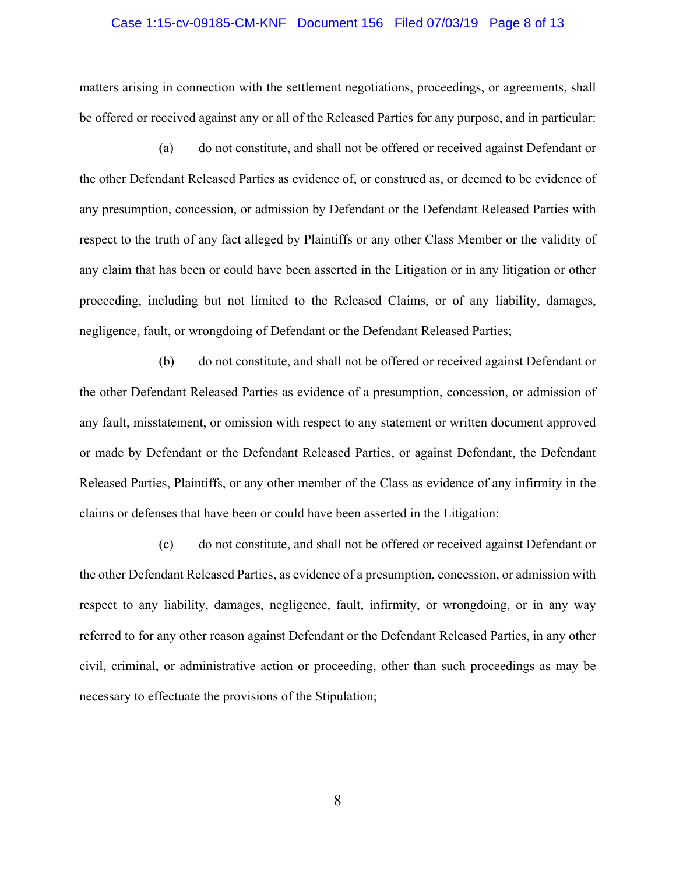#### Case 1:15-cv-09185-CM-KNF Document 156 Filed 07/03/19 Page 8 of 13

matters arising in connection with the settlement negotiations, proceedings, or agreements, shall be offered or received against any or all of the Released Parties for any purpose, and in particular:

(a) do not constitute, and shall not be offered or received against Defendant or the other Defendant Released Parties as evidence of, or construed as, or deemed to be evidence of any presumption, concession, or admission by Defendant or the Defendant Released Parties with respect to the truth of any fact alleged by Plaintiffs or any other Class Member or the validity of any claim that has been or could have been asserted in the Litigation or in any litigation or other proceeding, including but not limited to the Released Claims, or of any liability, damages, negligence, fault, or wrongdoing of Defendant or the Defendant Released Parties;

(b) do not constitute, and shall not be offered or received against Defendant or the other Defendant Released Parties as evidence of a presumption, concession, or admission of any fault, misstatement, or omission with respect to any statement or written document approved or made by Defendant or the Defendant Released Parties, or against Defendant, the Defendant Released Parties, Plaintiffs, or any other member of the Class as evidence of any infirmity in the claims or defenses that have been or could have been asserted in the Litigation;

(c) do not constitute, and shall not be offered or received against Defendant or the other Defendant Released Parties, as evidence of a presumption, concession, or admission with respect to any liability, damages, negligence, fault, infirmity, or wrongdoing, or in any way referred to for any other reason against Defendant or the Defendant Released Parties, in any other civil, criminal, or administrative action or proceeding, other than such proceedings as may be necessary to effectuate the provisions of the Stipulation;

8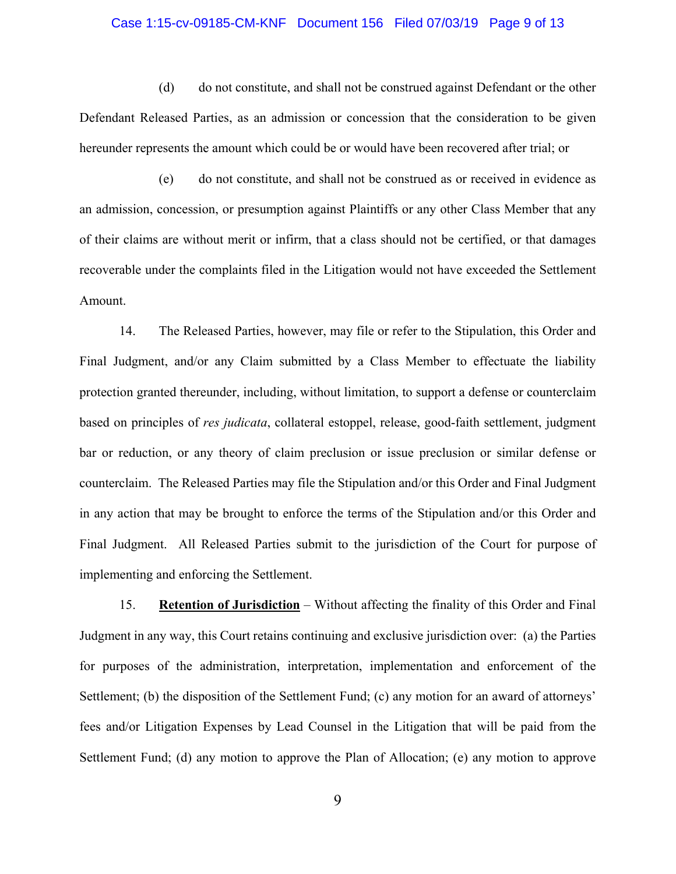## Case 1:15-cv-09185-CM-KNF Document 156 Filed 07/03/19 Page 9 of 13

(d) do not constitute, and shall not be construed against Defendant or the other Defendant Released Parties, as an admission or concession that the consideration to be given hereunder represents the amount which could be or would have been recovered after trial; or

(e) do not constitute, and shall not be construed as or received in evidence as an admission, concession, or presumption against Plaintiffs or any other Class Member that any of their claims are without merit or infirm, that a class should not be certified, or that damages recoverable under the complaints filed in the Litigation would not have exceeded the Settlement Amount.

14. The Released Parties, however, may file or refer to the Stipulation, this Order and Final Judgment, and/or any Claim submitted by a Class Member to effectuate the liability protection granted thereunder, including, without limitation, to support a defense or counterclaim based on principles of *res judicata*, collateral estoppel, release, good-faith settlement, judgment bar or reduction, or any theory of claim preclusion or issue preclusion or similar defense or counterclaim. The Released Parties may file the Stipulation and/or this Order and Final Judgment in any action that may be brought to enforce the terms of the Stipulation and/or this Order and Final Judgment. All Released Parties submit to the jurisdiction of the Court for purpose of implementing and enforcing the Settlement.

15. **Retention of Jurisdiction** – Without affecting the finality of this Order and Final Judgment in any way, this Court retains continuing and exclusive jurisdiction over: (a) the Parties for purposes of the administration, interpretation, implementation and enforcement of the Settlement; (b) the disposition of the Settlement Fund; (c) any motion for an award of attorneys' fees and/or Litigation Expenses by Lead Counsel in the Litigation that will be paid from the Settlement Fund; (d) any motion to approve the Plan of Allocation; (e) any motion to approve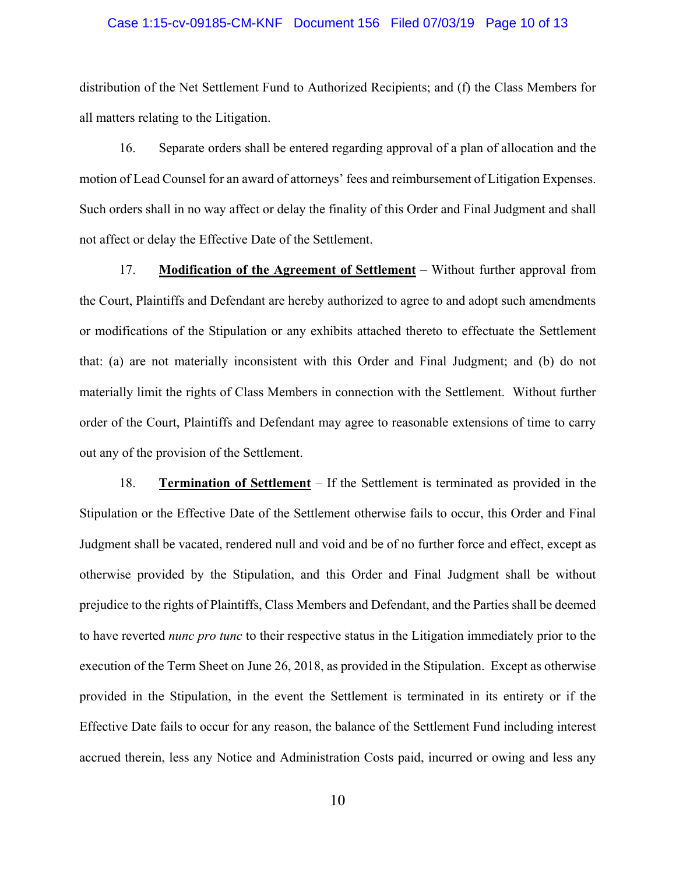#### Case 1:15-cv-09185-CM-KNF Document 156 Filed 07/03/19 Page 10 of 13

distribution of the Net Settlement Fund to Authorized Recipients; and (f) the Class Members for all matters relating to the Litigation.

16. Separate orders shall be entered regarding approval of a plan of allocation and the motion of Lead Counsel for an award of attorneys' fees and reimbursement of Litigation Expenses. Such orders shall in no way affect or delay the finality of this Order and Final Judgment and shall not affect or delay the Effective Date of the Settlement.

17. **Modification of the Agreement of Settlement** – Without further approval from the Court, Plaintiffs and Defendant are hereby authorized to agree to and adopt such amendments or modifications of the Stipulation or any exhibits attached thereto to effectuate the Settlement that: (a) are not materially inconsistent with this Order and Final Judgment; and (b) do not materially limit the rights of Class Members in connection with the Settlement. Without further order of the Court, Plaintiffs and Defendant may agree to reasonable extensions of time to carry out any of the provision of the Settlement.

18. **Termination of Settlement** – If the Settlement is terminated as provided in the Stipulation or the Effective Date of the Settlement otherwise fails to occur, this Order and Final Judgment shall be vacated, rendered null and void and be of no further force and effect, except as otherwise provided by the Stipulation, and this Order and Final Judgment shall be without prejudice to the rights of Plaintiffs, Class Members and Defendant, and the Parties shall be deemed to have reverted *nunc pro tunc* to their respective status in the Litigation immediately prior to the execution of the Term Sheet on June 26, 2018, as provided in the Stipulation. Except as otherwise provided in the Stipulation, in the event the Settlement is terminated in its entirety or if the Effective Date fails to occur for any reason, the balance of the Settlement Fund including interest accrued therein, less any Notice and Administration Costs paid, incurred or owing and less any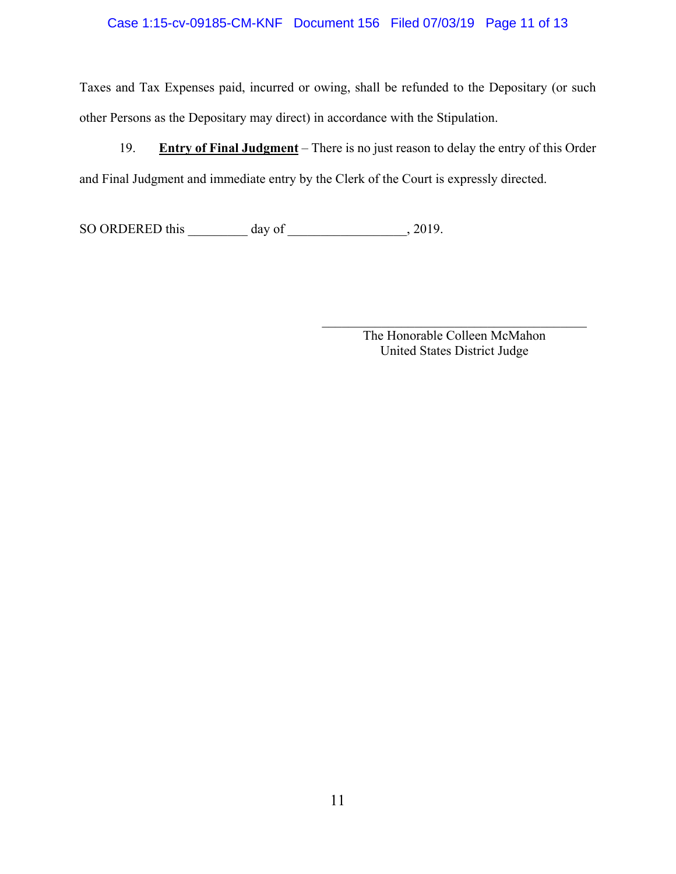## Case 1:15-cv-09185-CM-KNF Document 156 Filed 07/03/19 Page 11 of 13

Taxes and Tax Expenses paid, incurred or owing, shall be refunded to the Depositary (or such other Persons as the Depositary may direct) in accordance with the Stipulation.

19. **Entry of Final Judgment** – There is no just reason to delay the entry of this Order and Final Judgment and immediate entry by the Clerk of the Court is expressly directed.

SO ORDERED this \_\_\_\_\_\_\_\_ day of \_\_\_\_\_\_\_\_\_\_\_\_\_\_\_, 2019.

The Honorable Colleen McMahon United States District Judge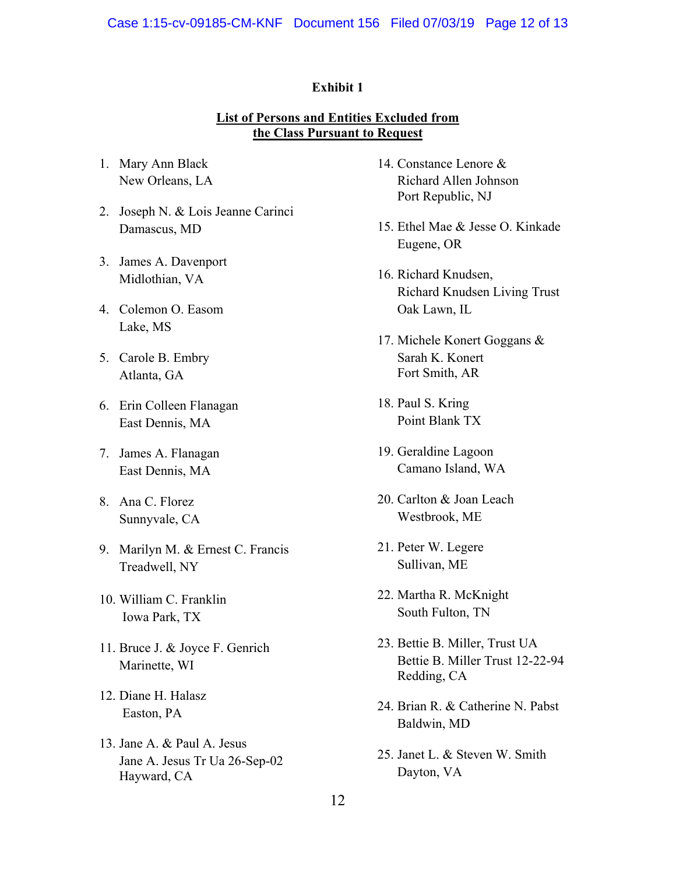## **Exhibit 1**

# **List of Persons and Entities Excluded from the Class Pursuant to Request**

- 1. Mary Ann Black New Orleans, LA
- 2. Joseph N. & Lois Jeanne Carinci Damascus, MD
- 3. James A. Davenport Midlothian, VA
- 4. Colemon O. Easom Lake, MS
- 5. Carole B. Embry Atlanta, GA
- 6. Erin Colleen Flanagan East Dennis, MA
- 7. James A. Flanagan East Dennis, MA
- 8. Ana C. Florez Sunnyvale, CA
- 9. Marilyn M. & Ernest C. Francis Treadwell, NY
- 10. William C. Franklin Iowa Park, TX
- 11. Bruce J. & Joyce F. Genrich Marinette, WI
- 12. Diane H. Halasz Easton, PA
- 13. Jane A. & Paul A. Jesus Jane A. Jesus Tr Ua 26-Sep-02 Hayward, CA
- 14. Constance Lenore & Richard Allen Johnson Port Republic, NJ
- 15. Ethel Mae & Jesse O. Kinkade Eugene, OR
- 16. Richard Knudsen, Richard Knudsen Living Trust Oak Lawn, IL
- 17. Michele Konert Goggans & Sarah K. Konert Fort Smith, AR
- 18. Paul S. Kring Point Blank TX
- 19. Geraldine Lagoon Camano Island, WA
- 20. Carlton & Joan Leach Westbrook, ME
- 21. Peter W. Legere Sullivan, ME
- 22. Martha R. McKnight South Fulton, TN
- 23. Bettie B. Miller, Trust UA Bettie B. Miller Trust 12-22-94 Redding, CA
- 24. Brian R. & Catherine N. Pabst Baldwin, MD
- 25. Janet L. & Steven W. Smith Dayton, VA